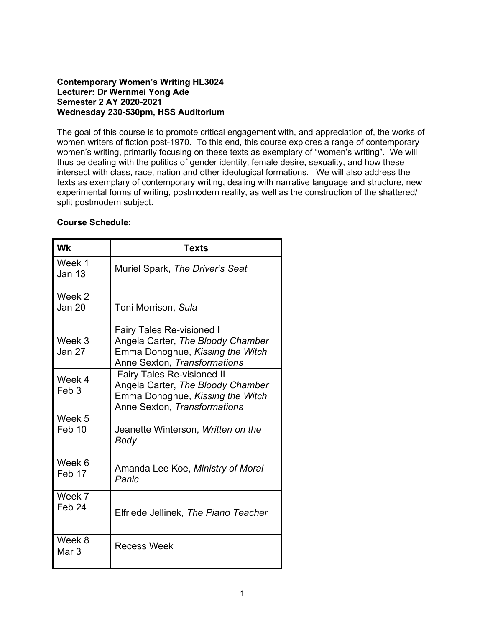### **Contemporary Women's Writing HL3024 Lecturer: Dr Wernmei Yong Ade Semester 2 AY 2020-2021 Wednesday 230-530pm, HSS Auditorium**

The goal of this course is to promote critical engagement with, and appreciation of, the works of women writers of fiction post-1970. To this end, this course explores a range of contemporary women's writing, primarily focusing on these texts as exemplary of "women's writing". We will thus be dealing with the politics of gender identity, female desire, sexuality, and how these intersect with class, race, nation and other ideological formations. We will also address the texts as exemplary of contemporary writing, dealing with narrative language and structure, new experimental forms of writing, postmodern reality, as well as the construction of the shattered/ split postmodern subject.

## **Course Schedule:**

| <b>Wk</b>                   | <b>Texts</b>                                                                                                                               |
|-----------------------------|--------------------------------------------------------------------------------------------------------------------------------------------|
| Week 1<br><b>Jan 13</b>     | Muriel Spark, The Driver's Seat                                                                                                            |
| Week 2<br><b>Jan 20</b>     | Toni Morrison, Sula                                                                                                                        |
| Week 3<br><b>Jan 27</b>     | <b>Fairy Tales Re-visioned I</b><br>Angela Carter, The Bloody Chamber<br>Emma Donoghue, Kissing the Witch<br>Anne Sexton, Transformations  |
| Week 4<br>Feb <sub>3</sub>  | <b>Fairy Tales Re-visioned II</b><br>Angela Carter, The Bloody Chamber<br>Emma Donoghue, Kissing the Witch<br>Anne Sexton, Transformations |
| Week 5<br>Feb 10            | Jeanette Winterson, Written on the<br>Body                                                                                                 |
| Week 6<br>Feb 17            | Amanda Lee Koe, Ministry of Moral<br>Panic                                                                                                 |
| Week 7<br>Feb <sub>24</sub> | Elfriede Jellinek, The Piano Teacher                                                                                                       |
| Week 8<br>Mar <sub>3</sub>  | <b>Recess Week</b>                                                                                                                         |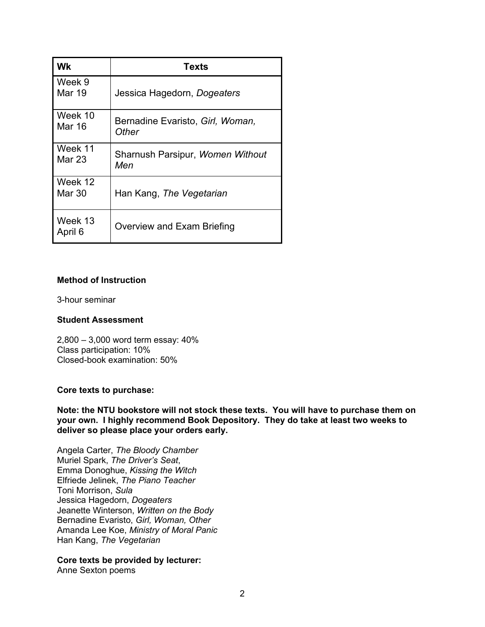| Wk                 | <b>Texts</b>                              |
|--------------------|-------------------------------------------|
| Week 9<br>Mar 19   | Jessica Hagedorn, Dogeaters               |
| Week 10<br>Mar 16  | Bernadine Evaristo, Girl, Woman,<br>Other |
| Week 11<br>Mar 23  | Sharnush Parsipur, Women Without<br>Men   |
| Week 12<br>Mar 30  | Han Kang, The Vegetarian                  |
| Week 13<br>April 6 | Overview and Exam Briefing                |

## **Method of Instruction**

3-hour seminar

#### **Student Assessment**

2,800 – 3,000 word term essay: 40% Class participation: 10% Closed-book examination: 50%

#### **Core texts to purchase:**

**Note: the NTU bookstore will not stock these texts. You will have to purchase them on your own. I highly recommend Book Depository. They do take at least two weeks to deliver so please place your orders early.** 

Angela Carter, *The Bloody Chamber* Muriel Spark, *The Driver's Seat*, Emma Donoghue, *Kissing the Witch*  Elfriede Jelinek, *The Piano Teacher* Toni Morrison, *Sula* Jessica Hagedorn, *Dogeaters* Jeanette Winterson, *Written on the Body*  Bernadine Evaristo, *Girl, Woman, Other*  Amanda Lee Koe, *Ministry of Moral Panic* Han Kang, *The Vegetarian* 

# **Core texts be provided by lecturer:**

Anne Sexton poems